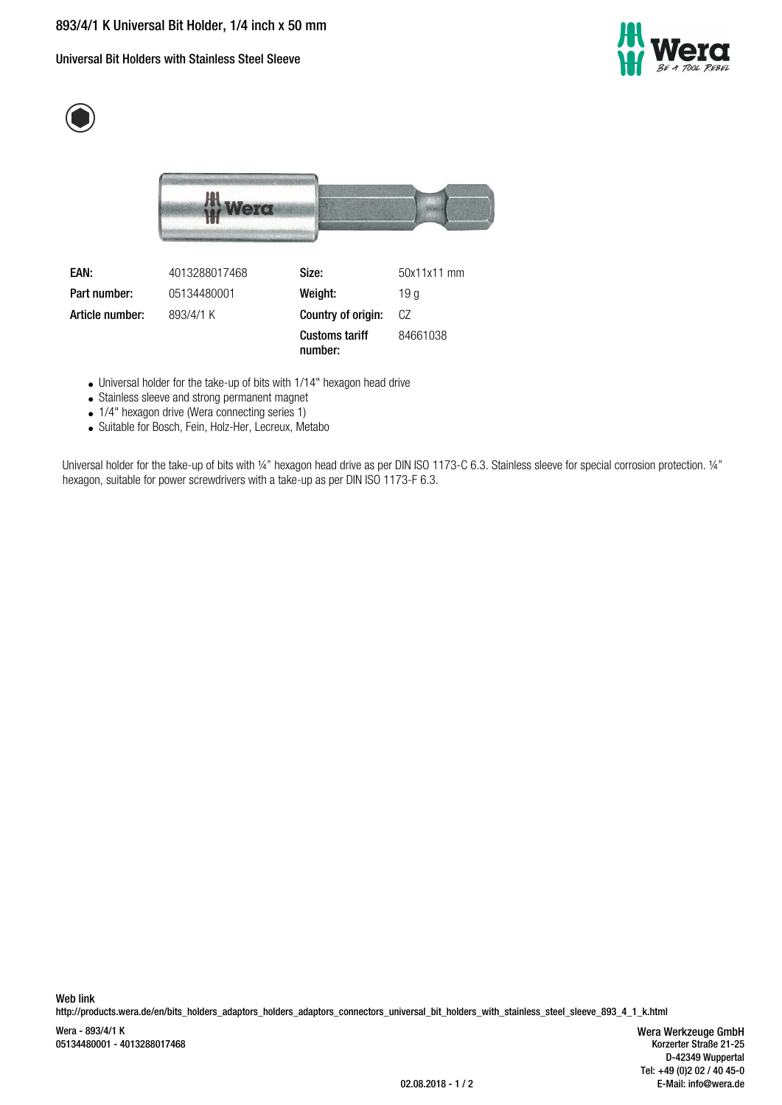Universal Bit Holders with Stainless Steel Sleeve







**Part number:** 05134480001 **Weight:** 19 g

**EAN:** 4013288017468 **Size:** 50x11x11 mm **Article number:** 893/4/1 K **Country of origin:** CZ **Customs tariff number:** 84661038

Universal holder for the take-up of bits with 1/14" hexagon head drive

- Stainless sleeve and strong permanent magnet
- 1/4" hexagon drive (Wera connecting series 1)
- Suitable for Bosch, Fein, Holz-Her, Lecreux, Metabo

Universal holder for the take-up of bits with 1/4" hexagon head drive as per DIN ISO 1173-C 6.3. Stainless sleeve for special corrosion protection. 1/4" hexagon, suitable for power screwdrivers with a take-up as per DIN ISO 1173-F 6.3.